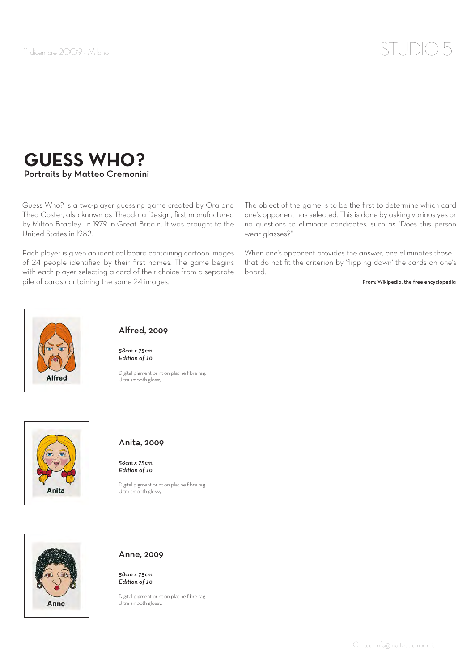# 11 dicembre 2009 - Milano  $STUDIO$   $5$

# **GUESS WHO?** Portraits by Matteo Cremonini

Guess Who? is a two-player guessing game created by Ora and Theo Coster, also known as Theodora Design, first manufactured by Milton Bradley in 1979 in Great Britain. It was brought to the United States in 1982.

Each player is given an identical board containing cartoon images of 24 people identified by their first names. The game begins with each player selecting a card of their choice from a separate pile of cards containing the same 24 images.

The object of the game is to be the first to determine which card one's opponent has selected. This is done by asking various yes or no questions to eliminate candidates, such as "Does this person wear glasses?"

When one's opponent provides the answer, one eliminates those that do not fit the criterion by 'flipping down' the cards on one's board.

From: Wikipedia, the free encyclopedia



### Alfred, 2009

*58cm x 75cm Edition of 10*

Digital pigment print on platine fibre rag. Ultra smooth glossy.



#### Anita, 2009

*58cm x 75cm Edition of 10*

Digital pigment print on platine fibre rag. Ultra smooth glossy.



#### Anne, 2009

*58cm x 75cm Edition of 10*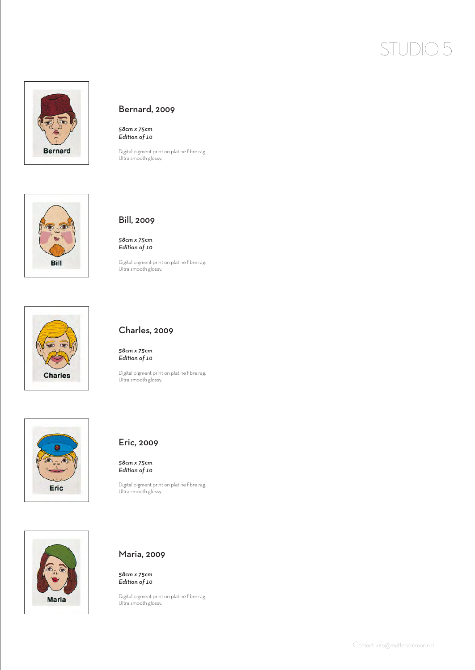# STUDIO 5



### Bernard, 2009

*58cm x 75cm Edition of 10*

Digital pigment print on platine fibre rag. Ultra smooth glossy.



### Bill, 2009

*58cm x 75cm Edition of 10*

Digital pigment print on platine fibre rag. Ultra smooth glossy.



#### Charles, 2009

*58cm x 75cm Edition of 10*

Digital pigment print on platine fibre rag. Ultra smooth glossy.





*58cm x 75cm Edition of 10*

Digital pigment print on platine fibre rag. Ultra smooth glossy.



#### Maria, 2009

*58cm x 75cm Edition of 10*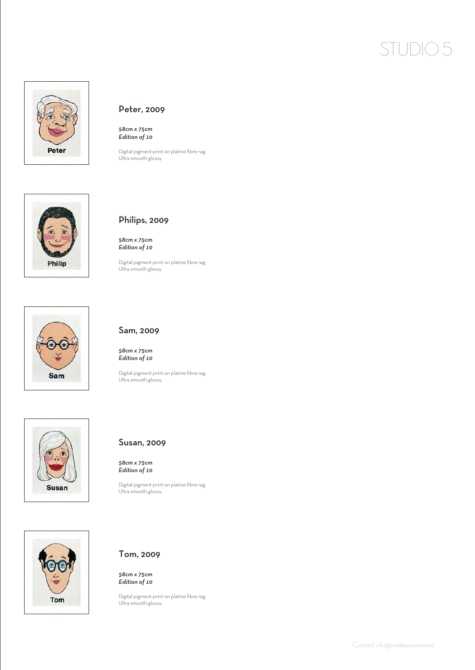# STUDIO 5



#### Peter, 2009

*58cm x 75cm Edition of 10*

Digital pigment print on platine fibre rag. Ultra smooth glossy.



#### Philips, 2009

*58cm x 75cm Edition of 10*

Digital pigment print on platine fibre rag. Ultra smooth glossy.



#### Sam, 2009

*58cm x 75cm Edition of 10*

Digital pigment print on platine fibre rag. Ultra smooth glossy.





#### Susan, 2009

*58cm x 75cm Edition of 10*

Digital pigment print on platine fibre rag. Ultra smooth glossy.

### Tom, 2009

*58cm x 75cm Edition of 10*